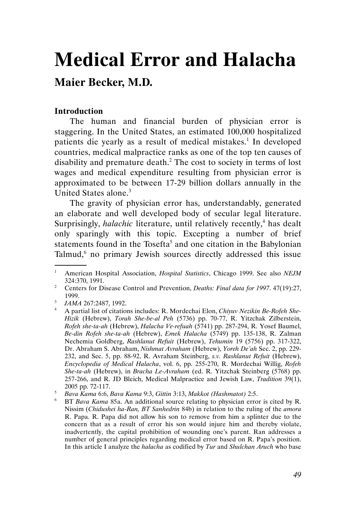# Medical Error and Halacha

## Maier Becker, M.D.

## Introduction

The human and financial burden of physician error is staggering. In the United States, an estimated 100,000 hospitalized patients die yearly as a result of medical mistakes.<sup>1</sup> In developed countries, medical malpractice ranks as one of the top ten causes of disability and premature death.<sup>2</sup> The cost to society in terms of lost wages and medical expenditure resulting from physician error is approximated to be between 17-29 billion dollars annually in the United States alone.<sup>3</sup>

The gravity of physician error has, understandably, generated an elaborate and well developed body of secular legal literature. Surprisingly, *halachic* literature, until relatively recently,<sup>4</sup> has dealt only sparingly with this topic. Excepting a number of brief statements found in the Tosefta<sup>5</sup> and one citation in the Babylonian Talmud,<sup>6</sup> no primary Jewish sources directly addressed this issue .

<sup>1</sup> American Hospital Association, Hospital Statistics, Chicago 1999. See also NEJM 324:370, 1991.

<sup>&</sup>lt;sup>2</sup> Centers for Disease Control and Prevention, *Deaths: Final data for 1997*.  $47(19):27$ , 1999.

<sup>&</sup>lt;sup>3</sup> JAMA 267:2487, 1992.

<sup>&</sup>lt;sup>4</sup> A partial list of citations includes: R. Mordechai Elon, Chiyuv Nezikin Be-Rofeh She-Hizik (Hebrew), Torah She-be-al Peh (5736) pp. 70-77, R. Yitzchak Zilberstein, Rofeh she-ta-ah (Hebrew), Halacha Ve-refuah (5741) pp. 287-294, R. Yosef Baumel, Be-din Rofeh she-ta-ah (Hebrew), Emek Halacha (5749) pp. 135-138, R. Zalman Nechemia Goldberg, Rashlanut Refuit (Hebrew), Tehumin 19 (5756) pp. 317-322, Dr. Abraham S. Abraham, Nishmat Avraham (Hebrew), Yoreh De'ah Sec. 2, pp. 229- 232, and Sec. 5, pp. 88-92, R. Avraham Steinberg, s.v. Rashlanut Refuit (Hebrew), Encyclopedia of Medical Halacha, vol. 6, pp. 255-270, R. Mordechai Willig, Rofeh She-ta-ah (Hebrew), in Bracha Le-Avraham (ed. R. Yitzchak Steinberg (5768) pp. 257-266, and R. JD Bleich, Medical Malpractice and Jewish Law, Tradition 39(1), 2005 pp. 72-117.

<sup>5</sup> Bava Kama 6:6, Bava Kama 9:3, Gittin 3:13, Makkot (Hashmatot) 2:5.

<sup>6</sup> BT Bava Kama 85a. An additional source relating to physician error is cited by R. Nissim (Chidushei ha-Ran, BT Sanhedrin 84b) in relation to the ruling of the amora R. Papa. R. Papa did not allow his son to remove from him a splinter due to the concern that as a result of error his son would injure him and thereby violate, inadvertently, the capital prohibition of wounding one's parent. Ran addresses a number of general principles regarding medical error based on R. Papa's position. In this article I analyze the *halacha* as codified by Tur and *Shulchan Aruch* who base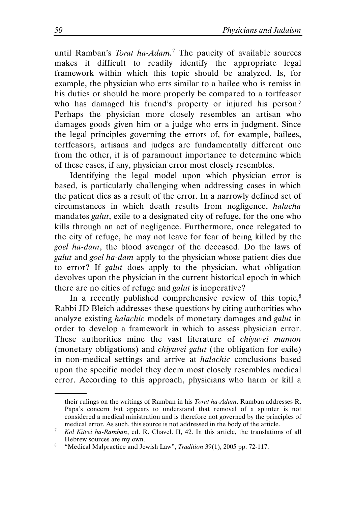until Ramban's *Torat ha-Adam*.<sup>7</sup> The paucity of available sources makes it difficult to readily identify the appropriate legal framework within which this topic should be analyzed. Is, for example, the physician who errs similar to a bailee who is remiss in his duties or should he more properly be compared to a tortfeasor who has damaged his friend's property or injured his person? Perhaps the physician more closely resembles an artisan who damages goods given him or a judge who errs in judgment. Since the legal principles governing the errors of, for example, bailees, tortfeasors, artisans and judges are fundamentally different one from the other, it is of paramount importance to determine which of these cases, if any, physician error most closely resembles.

Identifying the legal model upon which physician error is based, is particularly challenging when addressing cases in which the patient dies as a result of the error. In a narrowly defined set of circumstances in which death results from negligence, halacha mandates galut, exile to a designated city of refuge, for the one who kills through an act of negligence. Furthermore, once relegated to the city of refuge, he may not leave for fear of being killed by the goel ha-dam, the blood avenger of the deceased. Do the laws of galut and goel ha-dam apply to the physician whose patient dies due to error? If galut does apply to the physician, what obligation devolves upon the physician in the current historical epoch in which there are no cities of refuge and *galut* is inoperative?

In a recently published comprehensive review of this topic, $8$ Rabbi JD Bleich addresses these questions by citing authorities who analyze existing halachic models of monetary damages and galut in order to develop a framework in which to assess physician error. These authorities mine the vast literature of *chivuvei mamon* (monetary obligations) and *chiyuvei galut* (the obligation for exile) in non-medical settings and arrive at halachic conclusions based upon the specific model they deem most closely resembles medical error. According to this approach, physicians who harm or kill a

their rulings on the writings of Ramban in his Torat ha-Adam. Ramban addresses R. Papa's concern but appears to understand that removal of a splinter is not considered a medical ministration and is therefore not governed by the principles of medical error. As such, this source is not addressed in the body of the article.

<sup>7</sup> Kol Kitvei ha-Ramban, ed. R. Chavel. II, 42. In this article, the translations of all Hebrew sources are my own.

<sup>&</sup>lt;sup>8</sup> "Medical Malpractice and Jewish Law", *Tradition* 39(1), 2005 pp. 72-117.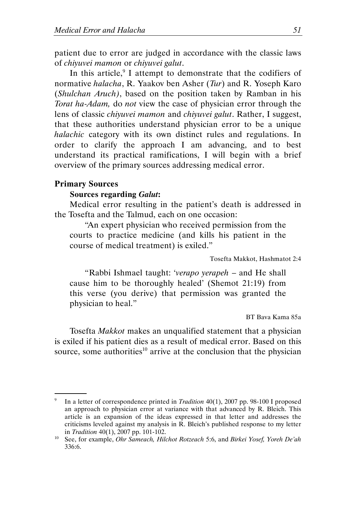patient due to error are judged in accordance with the classic laws of chiyuvei mamon or chiyuvei galut.

In this article, $9$  I attempt to demonstrate that the codifiers of normative *halacha*, R. Yaakov ben Asher (Tur) and R. Yoseph Karo (Shulchan Aruch), based on the position taken by Ramban in his Torat ha-Adam, do not view the case of physician error through the lens of classic chiyuvei mamon and chiyuvei galut. Rather, I suggest, that these authorities understand physician error to be a unique halachic category with its own distinct rules and regulations. In order to clarify the approach I am advancing, and to best understand its practical ramifications, I will begin with a brief overview of the primary sources addressing medical error.

#### Primary Sources

.

#### Sources regarding Galut:

Medical error resulting in the patient's death is addressed in the Tosefta and the Talmud, each on one occasion:

"An expert physician who received permission from the courts to practice medicine (and kills his patient in the course of medical treatment) is exiled."

Tosefta Makkot, Hashmatot 2:4

"Rabbi Ishmael taught: 'verapo yerapeh – and He shall cause him to be thoroughly healed' (Shemot 21:19) from this verse (you derive) that permission was granted the physician to heal."

BT Bava Kama 85a

Tosefta Makkot makes an unqualified statement that a physician is exiled if his patient dies as a result of medical error. Based on this source, some authorities<sup>10</sup> arrive at the conclusion that the physician

<sup>9</sup> In a letter of correspondence printed in Tradition 40(1), 2007 pp. 98-100 I proposed an approach to physician error at variance with that advanced by R. Bleich. This article is an expansion of the ideas expressed in that letter and addresses the criticisms leveled against my analysis in R. Bleich's published response to my letter in Tradition 40(1), 2007 pp. 101-102.

<sup>&</sup>lt;sup>10</sup> See, for example, *Ohr Sameach, Hilchot Rotzeach* 5:6, and *Birkei Yosef, Yoreh De'ah* 336:6.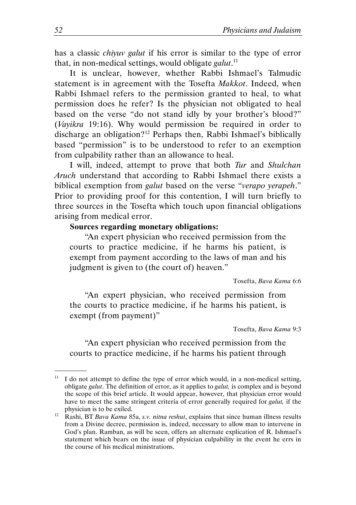has a classic chiyuv galut if his error is similar to the type of error that, in non-medical settings, would obligate galut.<sup>11</sup>

It is unclear, however, whether Rabbi Ishmael's Talmudic statement is in agreement with the Tosefta Makkot. Indeed, when Rabbi Ishmael refers to the permission granted to heal, to what permission does he refer? Is the physician not obligated to heal based on the verse "do not stand idly by your brother's blood?" (Vayikra 19:16). Why would permission be required in order to discharge an obligation?<sup>12</sup> Perhaps then, Rabbi Ishmael's biblically based "permission" is to be understood to refer to an exemption from culpability rather than an allowance to heal.

I will, indeed, attempt to prove that both Tur and Shulchan Aruch understand that according to Rabbi Ishmael there exists a biblical exemption from *galut* based on the verse "verapo verapeh." Prior to providing proof for this contention, I will turn briefly to three sources in the Tosefta which touch upon financial obligations arising from medical error.

## Sources regarding monetary obligations:

"An expert physician who received permission from the courts to practice medicine, if he harms his patient, is exempt from payment according to the laws of man and his judgment is given to (the court of) heaven."

Tosefta, Bava Kama 6:6

"An expert physician, who received permission from the courts to practice medicine, if he harms his patient, is exempt (from payment)"

Tosefta, Bava Kama 9:3

"An expert physician who received permission from the courts to practice medicine, if he harms his patient through

I do not attempt to define the type of error which would, in a non-medical setting, obligate *galut*. The definition of error, as it applies to *galut*, is complex and is beyond the scope of this brief article. It would appear, however, that physician error would have to meet the same stringent criteria of error generally required for *galut*, if the physician is to be exiled.

<sup>&</sup>lt;sup>12</sup> Rashi, BT Bava Kama 85a, s.v. nitna reshut, explains that since human illness results from a Divine decree, permission is, indeed, necessary to allow man to intervene in God's plan. Ramban, as will be seen, offers an alternate explication of R. Ishmael's statement which bears on the issue of physician culpability in the event he errs in the course of his medical ministrations.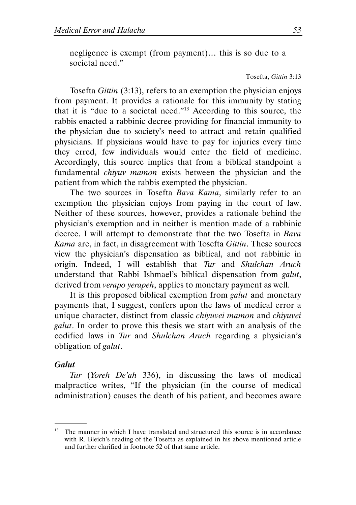negligence is exempt (from payment)… this is so due to a societal need."

#### Tosefta, Gittin 3:13

Tosefta Gittin (3:13), refers to an exemption the physician enjoys from payment. It provides a rationale for this immunity by stating that it is "due to a societal need."<sup>13</sup> According to this source, the rabbis enacted a rabbinic decree providing for financial immunity to the physician due to society's need to attract and retain qualified physicians. If physicians would have to pay for injuries every time they erred, few individuals would enter the field of medicine. Accordingly, this source implies that from a biblical standpoint a fundamental chiyuv mamon exists between the physician and the patient from which the rabbis exempted the physician.

The two sources in Tosefta Bava Kama, similarly refer to an exemption the physician enjoys from paying in the court of law. Neither of these sources, however, provides a rationale behind the physician's exemption and in neither is mention made of a rabbinic decree. I will attempt to demonstrate that the two Tosefta in Bava Kama are, in fact, in disagreement with Tosefta Gittin. These sources view the physician's dispensation as biblical, and not rabbinic in origin. Indeed, I will establish that Tur and Shulchan Aruch understand that Rabbi Ishmael's biblical dispensation from galut, derived from *verapo yerapeh*, applies to monetary payment as well.

It is this proposed biblical exemption from *galut* and monetary payments that, I suggest, confers upon the laws of medical error a unique character, distinct from classic chiyuvei mamon and chiyuvei galut. In order to prove this thesis we start with an analysis of the codified laws in Tur and Shulchan Aruch regarding a physician's obligation of galut.

#### **Galut**

.

Tur (Yoreh De'ah 336), in discussing the laws of medical malpractice writes, "If the physician (in the course of medical administration) causes the death of his patient, and becomes aware

<sup>&</sup>lt;sup>13</sup> The manner in which I have translated and structured this source is in accordance with R. Bleich's reading of the Tosefta as explained in his above mentioned article and further clarified in footnote 52 of that same article.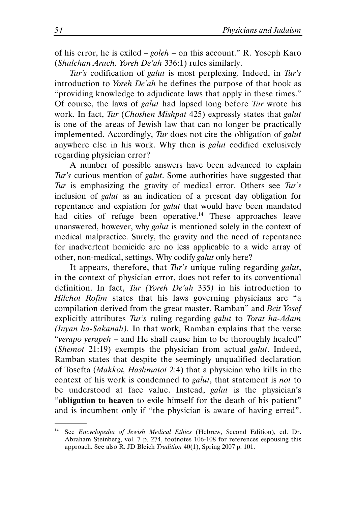of his error, he is exiled  $-\text{goleh}$  – on this account." R. Yoseph Karo (Shulchan Aruch, Yoreh De'ah 336:1) rules similarly.

Tur's codification of galut is most perplexing. Indeed, in Tur's introduction to Yoreh De'ah he defines the purpose of that book as "providing knowledge to adjudicate laws that apply in these times." Of course, the laws of galut had lapsed long before Tur wrote his work. In fact, Tur (Choshen Mishpat 425) expressly states that galut is one of the areas of Jewish law that can no longer be practically implemented. Accordingly, Tur does not cite the obligation of galut anywhere else in his work. Why then is galut codified exclusively regarding physician error?

A number of possible answers have been advanced to explain Tur's curious mention of *galut*. Some authorities have suggested that Tur is emphasizing the gravity of medical error. Others see Tur's inclusion of galut as an indication of a present day obligation for repentance and expiation for *galut* that would have been mandated had cities of refuge been operative.<sup>14</sup> These approaches leave unanswered, however, why *galut* is mentioned solely in the context of medical malpractice. Surely, the gravity and the need of repentance for inadvertent homicide are no less applicable to a wide array of other, non-medical, settings. Why codify galut only here?

It appears, therefore, that Tur's unique ruling regarding *galut*, in the context of physician error, does not refer to its conventional definition. In fact, Tur (Yoreh De'ah 335) in his introduction to Hilchot Rofim states that his laws governing physicians are "a compilation derived from the great master, Ramban" and Beit Yosef explicitly attributes Tur's ruling regarding galut to Torat ha-Adam (Inyan ha-Sakanah). In that work, Ramban explains that the verse "verapo yerapeh – and He shall cause him to be thoroughly healed" (Shemot 21:19) exempts the physician from actual *galut*. Indeed, Ramban states that despite the seemingly unqualified declaration of Tosefta (Makkot, Hashmatot 2:4) that a physician who kills in the context of his work is condemned to *galut*, that statement is *not* to be understood at face value. Instead, *galut* is the physician's "obligation to heaven to exile himself for the death of his patient" and is incumbent only if "the physician is aware of having erred".

<sup>&</sup>lt;sup>14</sup> See Encyclopedia of Jewish Medical Ethics (Hebrew, Second Edition), ed. Dr. Abraham Steinberg, vol. 7 p. 274, footnotes 106-108 for references espousing this approach. See also R. JD Bleich Tradition 40(1), Spring 2007 p. 101.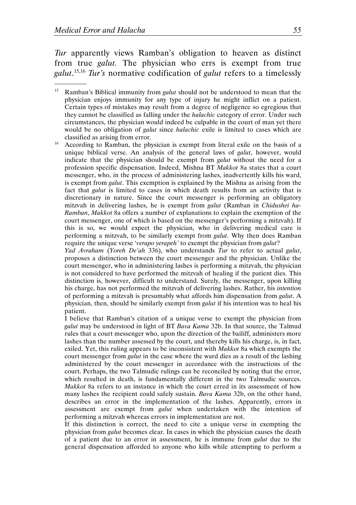Tur apparently views Ramban's obligation to heaven as distinct from true *galut*. The physician who errs is exempt from true galut.<sup>15,16</sup> Tur's normative codification of galut refers to a timelessly .

<sup>16</sup> According to Ramban, the physician is exempt from literal exile on the basis of a unique biblical verse. An analysis of the general laws of *galut*, however, would indicate that the physician should be exempt from galut without the need for a profession specific dispensation. Indeed, Mishna BT Makkot 8a states that a court messenger, who, in the process of administering lashes, inadvertently kills his ward, is exempt from galut. This exemption is explained by the Mishna as arising from the fact that *galut* is limited to cases in which death results from an activity that is discretionary in nature. Since the court messenger is performing an obligatory mitzvah in delivering lashes, he is exempt from galut (Ramban in Chidushei ha-Ramban, Makkot 8a offers a number of explanations to explain the exemption of the court messenger, one of which is based on the messenger's performing a mitzvah). If this is so, we would expect the physician, who in delivering medical care is performing a mitzvah, to be similarly exempt from galut. Why then does Ramban require the unique verse 'verapo yerapeh' to exempt the physician from galut?

Yad Avraham (Yoreh De'ah 336), who understands Tur to refer to actual galut, proposes a distinction between the court messenger and the physician. Unlike the court messenger, who in administering lashes is performing a mitzvah, the physician is not considered to have performed the mitzvah of healing if the patient dies. This distinction is, however, difficult to understand. Surely, the messenger, upon killing his charge, has not performed the mitzvah of delivering lashes. Rather, his intention of performing a mitzvah is presumably what affords him dispensation from galut. A physician, then, should be similarly exempt from galut if his intention was to heal his patient.

 I believe that Ramban's citation of a unique verse to exempt the physician from galut may be understood in light of BT Bava Kama 32b. In that source, the Talmud rules that a court messenger who, upon the direction of the bailiff, administers more lashes than the number assessed by the court, and thereby kills his charge, is, in fact, exiled. Yet, this ruling appears to be inconsistent with Makkot 8a which exempts the court messenger from *galut* in the case where the ward dies as a result of the lashing administered by the court messenger in accordance with the instructions of the court. Perhaps, the two Talmudic rulings can be reconciled by noting that the error, which resulted in death, is fundamentally different in the two Talmudic sources. Makkot 8a refers to an instance in which the court erred in its assessment of how many lashes the recipient could safely sustain. Bava Kama 32b, on the other hand, describes an error in the implementation of the lashes. Apparently, errors in assessment are exempt from *galut* when undertaken with the intention of performing a mitzvah whereas errors in implementation are not.

 If this distinction is correct, the need to cite a unique verse in exempting the physician from galut becomes clear. In cases in which the physician causes the death of a patient due to an error in assessment, he is immune from galut due to the general dispensation afforded to anyone who kills while attempting to perform a

<sup>&</sup>lt;sup>15</sup> Ramban's Biblical immunity from *galut* should not be understood to mean that the physician enjoys immunity for any type of injury he might inflict on a patient. Certain types of mistakes may result from a degree of negligence so egregious that they cannot be classified as falling under the halachic category of error. Under such circumstances, the physician would indeed be culpable in the court of man yet there would be no obligation of *galut* since *halachic* exile is limited to cases which are classified as arising from error.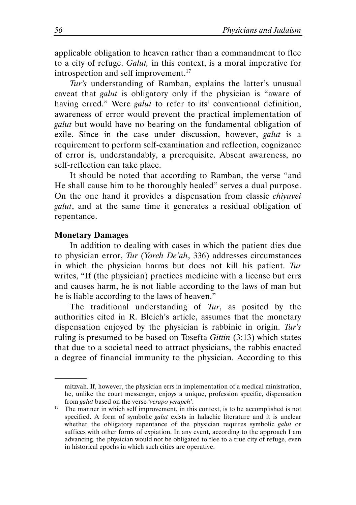applicable obligation to heaven rather than a commandment to flee to a city of refuge. Galut, in this context, is a moral imperative for introspection and self improvement.<sup>17</sup>

Tur's understanding of Ramban, explains the latter's unusual caveat that *galut* is obligatory only if the physician is "aware of having erred." Were *galut* to refer to its' conventional definition, awareness of error would prevent the practical implementation of galut but would have no bearing on the fundamental obligation of exile. Since in the case under discussion, however, *galut* is a requirement to perform self-examination and reflection, cognizance of error is, understandably, a prerequisite. Absent awareness, no self-reflection can take place.

It should be noted that according to Ramban, the verse "and He shall cause him to be thoroughly healed" serves a dual purpose. On the one hand it provides a dispensation from classic chiyuvei galut, and at the same time it generates a residual obligation of repentance.

#### Monetary Damages

.

In addition to dealing with cases in which the patient dies due to physician error, Tur (Yoreh De'ah, 336) addresses circumstances in which the physician harms but does not kill his patient. Tur writes, "If (the physician) practices medicine with a license but errs and causes harm, he is not liable according to the laws of man but he is liable according to the laws of heaven."

The traditional understanding of Tur, as posited by the authorities cited in R. Bleich's article, assumes that the monetary dispensation enjoyed by the physician is rabbinic in origin. Tur's ruling is presumed to be based on Tosefta Gittin (3:13) which states that due to a societal need to attract physicians, the rabbis enacted a degree of financial immunity to the physician. According to this

mitzvah. If, however, the physician errs in implementation of a medical ministration, he, unlike the court messenger, enjoys a unique, profession specific, dispensation from galut based on the verse 'verapo yerapeh'.

<sup>&</sup>lt;sup>17</sup> The manner in which self improvement, in this context, is to be accomplished is not specified. A form of symbolic galut exists in halachic literature and it is unclear whether the obligatory repentance of the physician requires symbolic galut or suffices with other forms of expiation. In any event, according to the approach I am advancing, the physician would not be obligated to flee to a true city of refuge, even in historical epochs in which such cities are operative.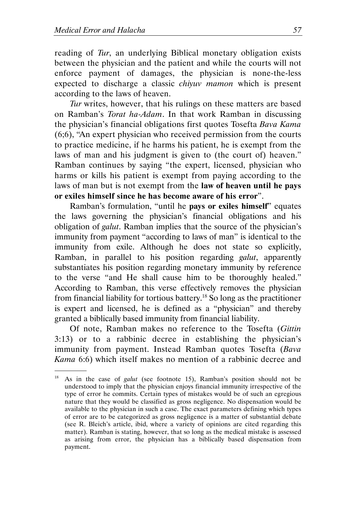.

reading of Tur, an underlying Biblical monetary obligation exists between the physician and the patient and while the courts will not enforce payment of damages, the physician is none-the-less expected to discharge a classic chiyuv mamon which is present according to the laws of heaven.

Tur writes, however, that his rulings on these matters are based on Ramban's Torat ha-Adam. In that work Ramban in discussing the physician's financial obligations first quotes Tosefta Bava Kama (6;6), "An expert physician who received permission from the courts to practice medicine, if he harms his patient, he is exempt from the laws of man and his judgment is given to (the court of) heaven." Ramban continues by saying "the expert, licensed, physician who harms or kills his patient is exempt from paying according to the laws of man but is not exempt from the law of heaven until he pays or exiles himself since he has become aware of his error".

Ramban's formulation, "until he pays or exiles himself" equates the laws governing the physician's financial obligations and his obligation of galut. Ramban implies that the source of the physician's immunity from payment "according to laws of man" is identical to the immunity from exile. Although he does not state so explicitly, Ramban, in parallel to his position regarding *galut*, apparently substantiates his position regarding monetary immunity by reference to the verse "and He shall cause him to be thoroughly healed." According to Ramban, this verse effectively removes the physician from financial liability for tortious battery.<sup>18</sup> So long as the practitioner is expert and licensed, he is defined as a "physician" and thereby granted a biblically based immunity from financial liability.

Of note, Ramban makes no reference to the Tosefta (Gittin 3:13) or to a rabbinic decree in establishing the physician's immunity from payment. Instead Ramban quotes Tosefta (Bava Kama 6:6) which itself makes no mention of a rabbinic decree and

As in the case of galut (see footnote 15), Ramban's position should not be understood to imply that the physician enjoys financial immunity irrespective of the type of error he commits. Certain types of mistakes would be of such an egregious nature that they would be classified as gross negligence. No dispensation would be available to the physician in such a case. The exact parameters defining which types of error are to be categorized as gross negligence is a matter of substantial debate (see R. Bleich's article, ibid, where a variety of opinions are cited regarding this matter). Ramban is stating, however, that so long as the medical mistake is assessed as arising from error, the physician has a biblically based dispensation from payment.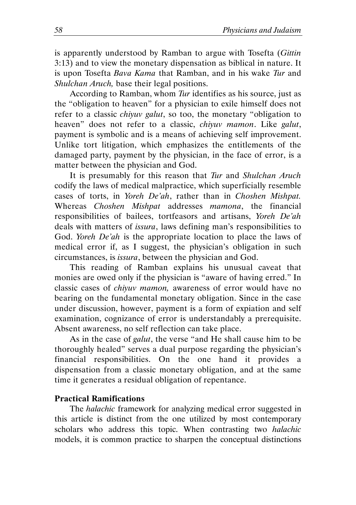is apparently understood by Ramban to argue with Tosefta (Gittin 3:13) and to view the monetary dispensation as biblical in nature. It is upon Tosefta Bava Kama that Ramban, and in his wake Tur and Shulchan Aruch, base their legal positions.

According to Ramban, whom Tur identifies as his source, just as the "obligation to heaven" for a physician to exile himself does not refer to a classic *chiyuv galut*, so too, the monetary "obligation to heaven" does not refer to a classic, *chiyuv mamon*. Like galut, payment is symbolic and is a means of achieving self improvement. Unlike tort litigation, which emphasizes the entitlements of the damaged party, payment by the physician, in the face of error, is a matter between the physician and God.

It is presumably for this reason that Tur and Shulchan Aruch codify the laws of medical malpractice, which superficially resemble cases of torts, in Yoreh De'ah, rather than in Choshen Mishpat. Whereas Choshen Mishpat addresses mamona, the financial responsibilities of bailees, tortfeasors and artisans, Yoreh De'ah deals with matters of *issura*, laws defining man's responsibilities to God. Yoreh De'ah is the appropriate location to place the laws of medical error if, as I suggest, the physician's obligation in such circumstances, is issura, between the physician and God.

This reading of Ramban explains his unusual caveat that monies are owed only if the physician is "aware of having erred." In classic cases of chiyuv mamon, awareness of error would have no bearing on the fundamental monetary obligation. Since in the case under discussion, however, payment is a form of expiation and self examination, cognizance of error is understandably a prerequisite. Absent awareness, no self reflection can take place.

As in the case of *galut*, the verse "and He shall cause him to be thoroughly healed" serves a dual purpose regarding the physician's financial responsibilities. On the one hand it provides a dispensation from a classic monetary obligation, and at the same time it generates a residual obligation of repentance.

## Practical Ramifications

The halachic framework for analyzing medical error suggested in this article is distinct from the one utilized by most contemporary scholars who address this topic. When contrasting two halachic models, it is common practice to sharpen the conceptual distinctions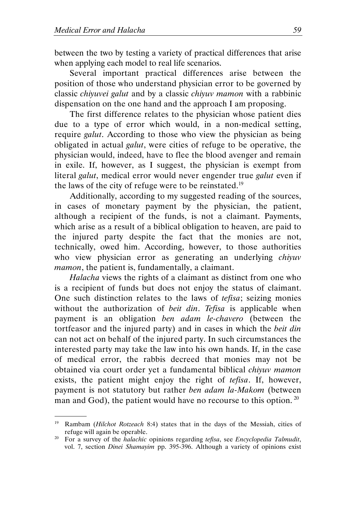.

between the two by testing a variety of practical differences that arise when applying each model to real life scenarios.

Several important practical differences arise between the position of those who understand physician error to be governed by classic chiyuvei galut and by a classic chiyuv mamon with a rabbinic dispensation on the one hand and the approach I am proposing.

The first difference relates to the physician whose patient dies due to a type of error which would, in a non-medical setting, require galut. According to those who view the physician as being obligated in actual galut, were cities of refuge to be operative, the physician would, indeed, have to flee the blood avenger and remain in exile. If, however, as I suggest, the physician is exempt from literal *galut*, medical error would never engender true *galut* even if the laws of the city of refuge were to be reinstated.<sup>19</sup>

Additionally, according to my suggested reading of the sources, in cases of monetary payment by the physician, the patient, although a recipient of the funds, is not a claimant. Payments, which arise as a result of a biblical obligation to heaven, are paid to the injured party despite the fact that the monies are not, technically, owed him. According, however, to those authorities who view physician error as generating an underlying *chiyuv* mamon, the patient is, fundamentally, a claimant.

Halacha views the rights of a claimant as distinct from one who is a recipient of funds but does not enjoy the status of claimant. One such distinction relates to the laws of tefisa; seizing monies without the authorization of *beit din. Tefisa* is applicable when payment is an obligation ben adam le-chavero (between the tortfeasor and the injured party) and in cases in which the *beit din* can not act on behalf of the injured party. In such circumstances the interested party may take the law into his own hands. If, in the case of medical error, the rabbis decreed that monies may not be obtained via court order yet a fundamental biblical chiyuv mamon exists, the patient might enjoy the right of tefisa. If, however, payment is not statutory but rather ben adam la-Makom (between man and God), the patient would have no recourse to this option.  $^{20}$ 

Rambam (Hilchot Rotzeach 8:4) states that in the days of the Messiah, cities of refuge will again be operable.

<sup>&</sup>lt;sup>20</sup> For a survey of the *halachic* opinions regarding *tefisa*, see *Encyclopedia Talmudit*, vol. 7, section Dinei Shamayim pp. 395-396. Although a variety of opinions exist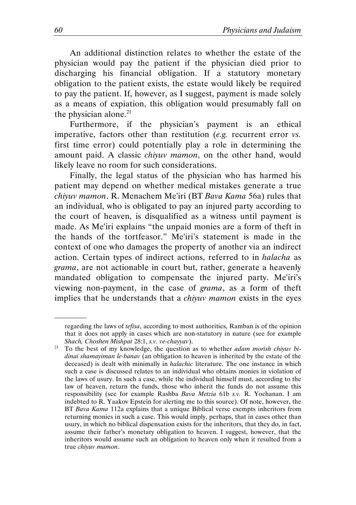An additional distinction relates to whether the estate of the physician would pay the patient if the physician died prior to discharging his financial obligation. If a statutory monetary obligation to the patient exists, the estate would likely be required to pay the patient. If, however, as I suggest, payment is made solely as a means of expiation, this obligation would presumably fall on the physician alone. $^{21}$ 

Furthermore, if the physician's payment is an ethical imperative, factors other than restitution (e.g. recurrent error vs. first time error) could potentially play a role in determining the amount paid. A classic chiyuv mamon, on the other hand, would likely leave no room for such considerations.

Finally, the legal status of the physician who has harmed his patient may depend on whether medical mistakes generate a true chiyuv mamon. R. Menachem Me'iri (BT Bava Kama 56a) rules that an individual, who is obligated to pay an injured party according to the court of heaven, is disqualified as a witness until payment is made. As Me'iri explains "the unpaid monies are a form of theft in the hands of the tortfeasor." Me'iri's statement is made in the context of one who damages the property of another via an indirect action. Certain types of indirect actions, referred to in halacha as grama, are not actionable in court but, rather, generate a heavenly mandated obligation to compensate the injured party. Me'iri's viewing non-payment, in the case of grama, as a form of theft implies that he understands that a chiyuv mamon exists in the eyes

regarding the laws of tefisa, according to most authorities, Ramban is of the opinion that it does not apply in cases which are non-statutory in nature (see for example Shach, Choshen Mishpat 28:1, s.v. ve-chayyav).

 $21$  To the best of my knowledge, the question as to whether *adam morish chiyuv bi*dinai shamayiman le-banav (an obligation to heaven is inherited by the estate of the deceased) is dealt with minimally in halachic literature. The one instance in which such a case is discussed relates to an individual who obtains monies in violation of the laws of usury. In such a case, while the individual himself must, according to the law of heaven, return the funds, those who inherit the funds do not assume this responsibility (see for example Rashba Bava Metzia 61b s.v. R. Yochanan. I am indebted to R. Yaakov Epstein for alerting me to this source). Of note, however, the BT Bava Kama 112a explains that a unique Biblical verse exempts inheritors from returning monies in such a case. This would imply, perhaps, that in cases other than usury, in which no biblical dispensation exists for the inheritors, that they do, in fact, assume their father's monetary obligation to heaven. I suggest, however, that the inheritors would assume such an obligation to heaven only when it resulted from a true chiyuv mamon.